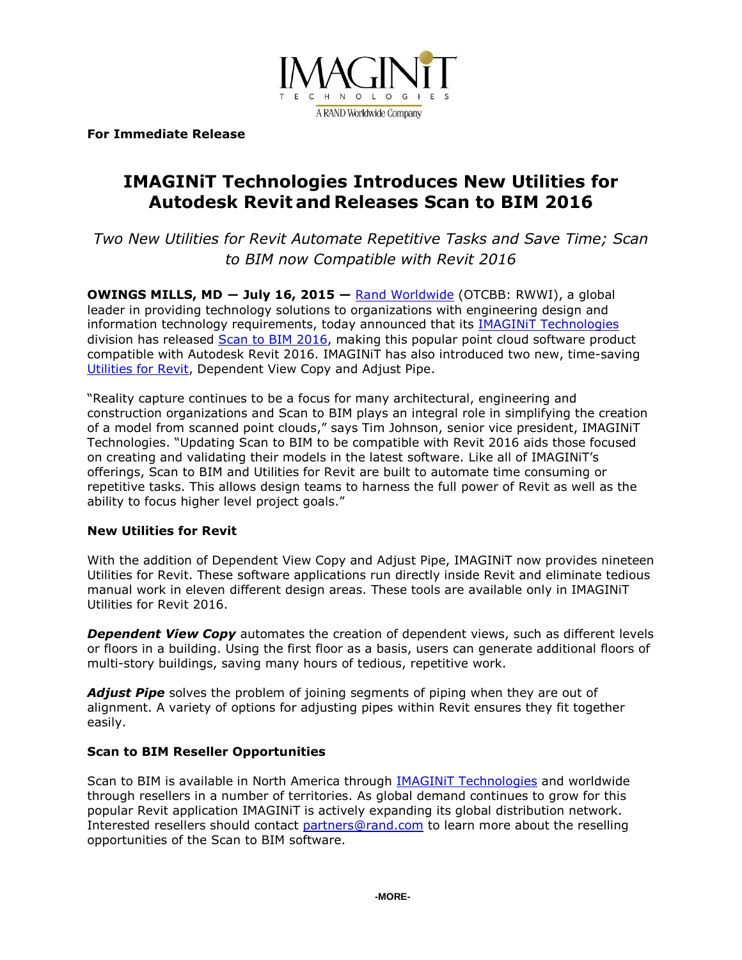

**For Immediate Release**

# **IMAGINiT Technologies Introduces New Utilities for Autodesk Revit and Releases Scan to BIM 2016**

*Two New Utilities for Revit Automate Repetitive Tasks and Save Time; Scan to BIM now Compatible with Revit 2016*

**OWINGS MILLS, MD ― July 16, 2015 —** [Rand Worldwide](http://www.rand.com/) (OTCBB: RWWI), a global leader in providing technology solutions to organizations with engineering design and information technology requirements, today announced that its [IMAGINiT Technologies](http://www.imaginit.com/) division has released [Scan to BIM](http://www.imaginit.com/software/imaginit-utilities-other-products/scan-to-bim) 2016, making this popular point cloud software product compatible with Autodesk Revit 2016. IMAGINiT has also introduced two new, time-saving [Utilities for Revit,](http://www.imaginit.com/software/imaginit-utilities-other-products/utilities-for-revit) Dependent View Copy and Adjust Pipe.

"Reality capture continues to be a focus for many architectural, engineering and construction organizations and Scan to BIM plays an integral role in simplifying the creation of a model from scanned point clouds," says Tim Johnson, senior vice president, IMAGINiT Technologies. "Updating Scan to BIM to be compatible with Revit 2016 aids those focused on creating and validating their models in the latest software. Like all of IMAGINiT's offerings, Scan to BIM and Utilities for Revit are built to automate time consuming or repetitive tasks. This allows design teams to harness the full power of Revit as well as the ability to focus higher level project goals."

### **New Utilities for Revit**

With the addition of Dependent View Copy and Adjust Pipe, IMAGINiT now provides nineteen Utilities for Revit. These software applications run directly inside Revit and eliminate tedious manual work in eleven different design areas. These tools are available only in IMAGINiT Utilities for Revit 2016.

**Dependent View Copy** automates the creation of dependent views, such as different levels or floors in a building. Using the first floor as a basis, users can generate additional floors of multi-story buildings, saving many hours of tedious, repetitive work.

*Adjust Pipe* solves the problem of joining segments of piping when they are out of alignment. A variety of options for adjusting pipes within Revit ensures they fit together easily.

## **Scan to BIM Reseller Opportunities**

Scan to BIM is available in North America through [IMAGINiT Technologies](http://www.imaginit.com/software/imaginit-utilities-other-products/utilities-for-revit) and worldwide through resellers in a number of territories. As global demand continues to grow for this popular Revit application IMAGINiT is actively expanding its global distribution network. Interested resellers should contact [partners@rand.com](mailto:partners@rand.com) to learn more about the reselling opportunities of the Scan to BIM software.